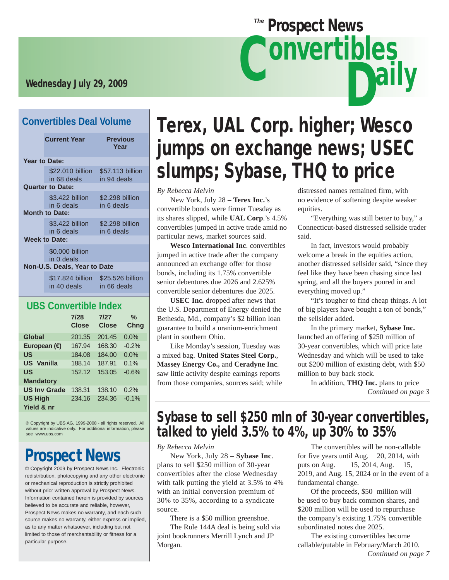# Wednesday July 29, 2009

### **Convertibles Deal Volume**

|                              | <b>Current Year</b>                                          | <b>Previous</b><br>Year         |  |  |
|------------------------------|--------------------------------------------------------------|---------------------------------|--|--|
| <b>Year to Date:</b>         |                                                              |                                 |  |  |
|                              | \$22.010 billion<br>in 68 deals                              | \$57.113 billion<br>in 94 deals |  |  |
|                              | <b>Quarter to Date:</b>                                      |                                 |  |  |
|                              | \$3.422 billion<br>in 6 deals                                | \$2.298 billion<br>in 6 deals   |  |  |
|                              | <b>Month to Date:</b>                                        |                                 |  |  |
|                              | \$3.422 billion<br>in 6 deals                                | \$2.298 billion<br>in 6 deals   |  |  |
| <b>Week to Date:</b>         |                                                              |                                 |  |  |
|                              | \$0,000 billion<br>in 0 deals                                |                                 |  |  |
| Non-U.S. Deals, Year to Date |                                                              |                                 |  |  |
|                              | \$17.824 billion \$25.526 billion<br>in 40 deals in 66 deals |                                 |  |  |

### **UBS Convertible Index**

|                              | 7/28<br><b>Close</b> | 7/27<br><b>Close</b> | ℀<br><b>Chng</b> |
|------------------------------|----------------------|----------------------|------------------|
| Global                       | 201.35               | 201.45               | $0.0\%$          |
| European ( <del>€</del>      | 167.94               | 168.30               | $-0.2%$          |
| US                           | 184.08               | 184.00               | 0.0%             |
| <b>US</b> Vanilla            | 188.14               | 187.91               | 0.1%             |
| US                           | 152.12               | 153.05               | $-0.6%$          |
| <b>Mandatory</b>             |                      |                      |                  |
| <b>US Inv Grade</b>          | 138.31               | 138.10               | 0.2%             |
| <b>US High</b><br>Yield & nr | 234.16               | 234.36               | $-0.1%$          |

© Copyright by UBS AG, 1999-2008 - all rights reserved. All values are indicative only. For additional information, please see www.ubs.com

# Prospect News

© Copyright 2009 by Prospect News Inc. Electronic redistribution, photocopying and any other electronic or mechanical reproduction is strictly prohibited without prior written approval by Prospect News. Information contained herein is provided by sources believed to be accurate and reliable, however, Prospect News makes no warranty, and each such source makes no warranty, either express or implied, as to any matter whatsoever, including but not limited to those of merchantability or fitness for a particular purpose.

# Terex, UAL Corp. higher; Wesco jumps on exchange news; USEC slumps; Sybase, THQ to price

**Prospect News** 

*By Rebecca Melvin*

 New York, July 28 – **Terex Inc.**'s convertible bonds were firmer Tuesday as its shares slipped, while **UAL Corp**.'s 4.5% convertibles jumped in active trade amid no particular news, market sources said.

**Wesco International Inc**. convertibles jumped in active trade after the company announced an exchange offer for those bonds, including its 1.75% convertible senior debentures due 2026 and 2.625% convertible senior debentures due 2025.

**USEC Inc.** dropped after news that the U.S. Department of Energy denied the Bethesda, Md., company's \$2 billion loan guarantee to build a uranium-enrichment plant in southern Ohio.

 Like Monday's session, Tuesday was a mixed bag. **United States Steel Corp.**, **Massey Energy Co.,** and **Ceradyne Inc**. saw little activity despite earnings reports from those companies, sources said; while distressed names remained firm, with no evidence of softening despite weaker equities.

 "Everything was still better to buy," a Connecticut-based distressed sellside trader said.

ally

 In fact, investors would probably welcome a break in the equities action, another distressed sellsider said, "since they feel like they have been chasing since last spring, and all the buyers poured in and everything moved up."

 "It's tougher to find cheap things. A lot of big players have bought a ton of bonds," the sellsider added.

 In the primary market, **Sybase Inc.** launched an offering of \$250 million of 30-year convertibles, which will price late Wednesday and which will be used to take out \$200 million of existing debt, with \$50 million to buy back stock.

 In addition, **THQ Inc.** plans to price *Continued on page 3*

# Sybase to sell \$250 mln of 30-year convertibles, talked to yield 3.5% to 4%, up 30% to 35%

*By Rebecca Melvin*

 New York, July 28 – **Sybase Inc**. plans to sell \$250 million of 30-year convertibles after the close Wednesday with talk putting the yield at 3.5% to 4% with an initial conversion premium of 30% to 35%, according to a syndicate source.

 There is a \$50 million greenshoe. The Rule 144A deal is being sold via joint bookrunners Merrill Lynch and JP Morgan.

 The convertibles will be non-callable for five years until Aug. 20, 2014, with puts on Aug. 15, 2014, Aug. 15, 2019, and Aug. 15, 2024 or in the event of a fundamental change.

 Of the proceeds, \$50 million will be used to buy back common shares, and \$200 million will be used to repurchase the company's existing 1.75% convertible subordinated notes due 2025.

 The existing convertibles become callable/putable in February/March 2010. *Continued on page 7*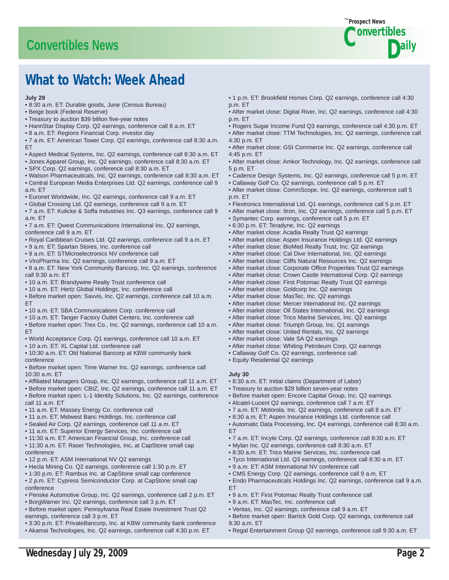# **Convertibles News**



# What to Watch: Week Ahead

#### **July 29**

- 8:30 a.m. ET: Durable goods, June (Census Bureau)
- Beige book (Federal Reserve)
- Treasury to auction \$39 billion five-year notes
- HannStar Display Corp. Q2 earnings, conference call 8 a.m. ET
- 8 a.m. ET: Regions Financial Corp. investor day
- 7 a.m. ET: American Tower Corp. Q2 earnings, conference call 8:30 a.m. ET
- Aspect Medical Systems, Inc. Q2 earnings, conference call 8:30 a.m. ET
- Jones Apparel Group, Inc. Q2 earnings, conference call 8:30 a.m. ET
- SPX Corp. Q2 earnings, conference call 8:30 a.m. ET
- Watson Pharmaceuticals, Inc. Q2 earnings, conference call 8:30 a.m. ET • Central European Media Enterprises Ltd. Q2 earnings, conference call 9 a.m. ET
- Euronet Worldwide, Inc. Q2 earnings, conference call 9 a.m. ET
- Global Crossing Ltd. Q2 earnings, conference call 9 a.m. ET
- 7 a.m. ET: Kulicke & Soffa Industries Inc. Q3 earnings, conference call 9 a.m. ET
- 7 a.m. ET: Qwest Communications International Inc. Q2 earnings, conference call 9 a.m. ET
- Royal Caribbean Cruises Ltd. Q2 earnings, conference call 9 a.m. ET
- 9 a.m. ET: Spartan Stores, Inc. conference call
- 9 a.m. ET: STMicroelectronics NV conference call
- ViroPharma Inc. Q2 earnings, conference call 9 a.m. ET
- 8 a.m. ET: New York Community Bancorp, Inc. Q2 earnings, conference call 9:30 a.m. ET
- 10 a.m. ET: Brandywine Realty Trust conference call
- 10 a.m. ET: Hertz Global Holdings, Inc. conference call
- Before market open: Savvis, Inc. Q2 earnings, conference call 10 a.m. ET
- 10 a.m. ET: SBA Communications Corp. conference call
- 10 a.m. ET: Tanger Factory Outlet Centers, Inc. conference call
- Before market open: Trex Co., Inc. Q2 earnings, conference call 10 a.m. ET
- World Acceptance Corp. Q1 earnings, conference call 10 a.m. ET
- 10 a.m. ET: XL Capital Ltd. conference call
- 10:30 a.m. ET: Old National Bancorp at KBW community bank conference
- Before market open: Time Warner Inc. Q2 earnings, conference call 10:30 a.m. ET
- Affiliated Managers Group, Inc. Q2 earnings, conference call 11 a.m. ET
- Before market open: CBIZ, Inc. Q2 earnings, conference call 11 a.m. ET
- Before market open: L-1 Identity Solutions, Inc. Q2 earnings, conference call 11 a.m. ET
- 11 a.m. ET: Massey Energy Co. conference call
- 11 a.m. ET: Midwest Banc Holdings, Inc. conference call
- Sealed Air Corp. Q2 earnings, conference call 11 a.m. ET
- 11 a.m. ET: Superior Energy Services, Inc. conference call
- 11:30 a.m. ET: American Financial Group, Inc. conference call
- 11:30 a.m. ET: Raser Technologies, Inc**.** at CapStone small cap conference
- 12 p.m. ET: ASM International NV Q2 earnings
- Hecla Mining Co. Q2 earnings, conference call 1:30 p.m. ET
- 1:30 p.m. ET: Rambus Inc. at CapStone small cap conference
- 2 p.m. ET: Cypress Semiconductor Corp. at CapStone small cap conference
- Penske Automotive Group, Inc. Q2 earnings, conference call 2 p.m. ET
- BorgWarner Inc. Q2 earnings, conference call 3 p.m. ET
- Before market open: Pennsylvania Real Estate Investment Trust Q2 earnings, conference call 3 p.m. ET
- 3:30 p.m. ET: PrivateBancorp, Inc. at KBW community bank conference
- Akamai Technologies, Inc. Q2 earnings, conference call 4:30 p.m. ET
- 1 p.m. ET: Brookfield Homes Corp. Q2 earnings, conference call 4:30 p.m. ET
- After market close: Digital River, Inc. Q2 earnings, conference call 4:30 p.m. ET
- Rogers Sugar Income Fund Q3 earnings, conference call 4:30 p.m. ET
- After market close: TTM Technologies, Inc. Q2 earnings, conference call 4:30 p.m. ET
- After market close: GSI Commerce Inc. Q2 earnings, conference call 4:45 p.m. ET
- After market close: Amkor Technology, Inc. Q2 earnings, conference call 5 p.m. ET
- Cadence Design Systems, Inc. Q2 earnings, conference call 5 p.m. ET
- Callaway Golf Co. Q2 earnings, conference call 5 p.m. ET
- After market close: CommScope, Inc. Q2 earnings, conference call 5 p.m. ET
- Flextronics International Ltd. Q1 earnings, conference call 5 p.m. ET
- After market close: Itron, Inc. Q2 earnings, conference call 5 p.m. ET
- Symantec Corp. earnings, conference call 5 p.m. ET
- 6:30 p.m. ET: Teradyne, Inc. Q2 earnings
- After market close: Acadia Realty Trust Q2 earnings
- After market close: Aspen Insurance Holdings Ltd. Q2 earnings
- After market close: BioMed Realty Trust, Inc. Q2 earnings
- After market close: Cal Dive International, Inc. Q2 earnings
- After market close: Cliffs Natural Resources Inc. Q2 earnings
- After market close: Corporate Office Properties Trust Q2 earnings
- After market close: Crown Castle International Corp. Q2 earnings
- After market close: First Potomac Realty Trust Q2 earnings
- After market close: Goldcorp Inc. Q2 earnings
- After market close: MasTec, Inc. Q2 earnings
- After market close: Mercer International Inc. Q2 earnings
- After market close: Oil States International, Inc. Q2 earnings
- After market close: Trico Marine Services, Inc. Q2 earnings
- After market close: Triumph Group, Inc. Q1 earnings
- After market close: United Rentals, Inc. Q2 earnings
- After market close: Vale SA Q2 earnings
- After market close: Whiting Petroleum Corp. Q2 earnings
- Callaway Golf Co. Q2 earnings, conference call
- Equity Residential Q2 earnings

#### **July 30**

Wednesday July 29, 2009 Page 2

9:30 a.m. ET

- 8:30 a.m. ET: Initial claims (Department of Labor)
- Treasury to auction \$28 billion seven-year notes
- Before market open: Encore Capital Group, Inc. Q2 earnings
- Alcatel-Lucent Q2 earnings, conference call 7 a.m. ET
- 7 a.m. ET: Motorola, Inc. Q2 earnings, conference call 8 a.m. ET
- 8:30 a.m. ET: Aspen Insurance Holdings Ltd. conference call
- Automatic Data Processing, Inc. Q4 earnings, conference call 8:30 a.m. **FT**
- 7 a.m. ET: Incyte Corp. Q2 earnings, conference call 8:30 a.m. ET
- Mylan Inc. Q2 earnings, conference call 8:30 a.m. ET
- 8:30 a.m. ET: Trico Marine Services, Inc. conference call
- Tyco International Ltd. Q3 earnings, conference call 8:30 a.m. ET
- 9 a.m. ET: ASM International NV conference call
- CMS Energy Corp. Q2 earnings, conference call 9 a.m. ET
- Endo Pharmaceuticals Holdings Inc. Q2 earnings, conference call 9 a.m. ET

• Before market open: Barrick Gold Corp. Q2 earnings, conference call

• Regal Entertainment Group Q2 earnings, conference call 9:30 a.m. ET

- 9 a.m. ET: First Potomac Realty Trust conference call • Ventas, Inc. Q2 earnings, conference call 9 a.m. ET
- 9 a.m. ET: MasTec, Inc. conference call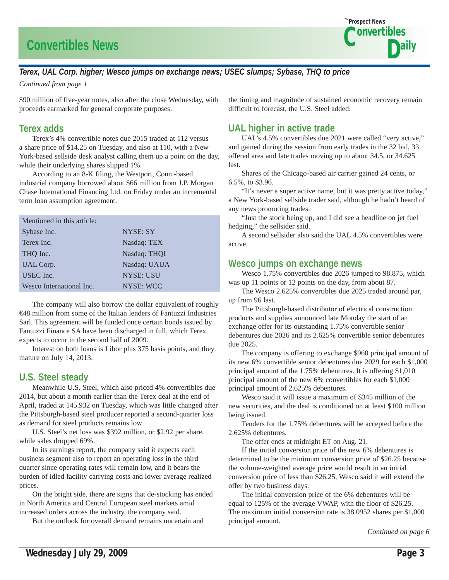# **Convertibles News**



### *Terex, UAL Corp. higher; Wesco jumps on exchange news; USEC slumps; Sybase, THQ to price*

*Continued from page 1*

\$90 million of five-year notes, also after the close Wednesday, with proceeds earmarked for general corporate purposes.

### **Terex adds**

 Terex's 4% convertible notes due 2015 traded at 112 versus a share price of \$14.25 on Tuesday, and also at 110, with a New York-based sellside desk analyst calling them up a point on the day, while their underlying shares slipped 1%.

 According to an 8-K filing, the Westport, Conn.-based industrial company borrowed about \$66 million from J.P. Morgan Chase International Financing Ltd. on Friday under an incremental term loan assumption agreement.

| Mentioned in this article: |                  |
|----------------------------|------------------|
| Sybase Inc.                | NYSE: SY         |
| Terex Inc.                 | Nasdaq: TEX      |
| THQ Inc.                   | Nasdaq: THQI     |
| UAL Corp.                  | Nasdaq: UAUA     |
| USEC Inc.                  | <b>NYSE: USU</b> |
| Wesco International Inc.   | <b>NYSE: WCC</b> |

 The company will also borrow the dollar equivalent of roughly €48 million from some of the Italian lenders of Fantuzzi Industries Sarl. This agreement will be funded once certain bonds issued by Fantuzzi Finance SA have been discharged in full, which Terex expects to occur in the second half of 2009.

 Interest on both loans is Libor plus 375 basis points, and they mature on July 14, 2013.

## **U.S. Steel steady**

 Meanwhile U.S. Steel, which also priced 4% convertibles due 2014, but about a month earlier than the Terex deal at the end of April, traded at 145.932 on Tuesday, which was little changed after the Pittsburgh-based steel producer reported a second-quarter loss as demand for steel products remains low

 U.S. Steel's net loss was \$392 million, or \$2.92 per share, while sales dropped 69%.

 In its earnings report, the company said it expects each business segment also to report an operating loss in the third quarter since operating rates will remain low, and it bears the burden of idled facility carrying costs and lower average realized prices.

 On the bright side, there are signs that de-stocking has ended in North America and Central European steel markets amid increased orders across the industry, the company said.

But the outlook for overall demand remains uncertain and

the timing and magnitude of sustained economic recovery remain difficult to forecast, the U.S. Steel added.

### **UAL higher in active trade**

 UAL's 4.5% convertibles due 2021 were called "very active," and gained during the session from early trades in the 32 bid, 33 offered area and late trades moving up to about 34.5, or 34.625 last.

 Shares of the Chicago-based air carrier gained 24 cents, or 6.5%, to \$3.96.

 "It's never a super active name, but it was pretty active today," a New York-based sellside trader said, although he hadn't heard of any news promoting trades.

 "Just the stock being up, and I did see a headline on jet fuel hedging," the sellsider said.

 A second sellsider also said the UAL 4.5% convertibles were active.

### **Wesco jumps on exchange news**

 Wesco 1.75% convertibles due 2026 jumped to 98.875, which was up 11 points or 12 points on the day, from about 87.

 The Wesco 2.625% convertibles due 2025 traded around par, up from 96 last.

 The Pittsburgh-based distributor of electrical construction products and supplies announced late Monday the start of an exchange offer for its outstanding 1.75% convertible senior debentures due 2026 and its 2.625% convertible senior debentures due 2025.

 The company is offering to exchange \$960 principal amount of its new 6% convertible senior debentures due 2029 for each \$1,000 principal amount of the 1.75% debentures. It is offering \$1,010 principal amount of the new 6% convertibles for each \$1,000 principal amount of 2.625% debentures.

 Wesco said it will issue a maximum of \$345 million of the new securities, and the deal is conditioned on at least \$100 million being issued.

 Tenders for the 1.75% debentures will be accepted before the 2.625% debentures.

The offer ends at midnight ET on Aug. 21.

 If the initial conversion price of the new 6% debentures is determined to be the minimum conversion price of \$26.25 because the volume-weighted average price would result in an initial conversion price of less than \$26.25, Wesco said it will extend the offer by two business days.

 The initial conversion price of the 6% debentures will be equal to 125% of the average VWAP, with the floor of \$26.25. The maximum initial conversion rate is 38.0952 shares per \$1,000 principal amount.

*Continued on page 6*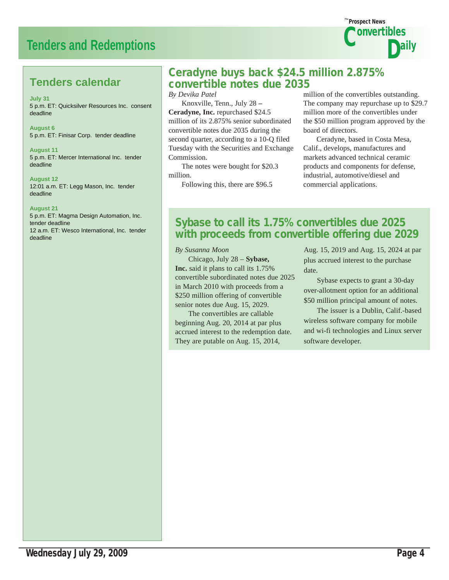# **Tenders and Redemptions**



# **Tenders calendar**

**July 31** 5 p.m. ET: Quicksilver Resources Inc. consent deadline

**August 6** 5 p.m. ET: Finisar Corp. tender deadline

**August 11** 5 p.m. ET: Mercer International Inc. tender deadline

**August 12** 12:01 a.m. ET: Legg Mason, Inc. tender deadline

#### **August 21**

5 p.m. ET: Magma Design Automation, Inc. tender deadline 12 a.m. ET: Wesco International, Inc. tender deadline

# Ceradyne buys back \$24.5 million 2.875% convertible notes due 2035

*By Devika Patel*

 Knoxville, Tenn., July 28 **– Ceradyne, Inc.** repurchased \$24.5 million of its 2.875% senior subordinated convertible notes due 2035 during the second quarter, according to a 10-Q filed Tuesday with the Securities and Exchange Commission.

 The notes were bought for \$20.3 million.

Following this, there are \$96.5

million of the convertibles outstanding. The company may repurchase up to \$29.7 million more of the convertibles under the \$50 million program approved by the board of directors.

 Ceradyne, based in Costa Mesa, Calif., develops, manufactures and markets advanced technical ceramic products and components for defense, industrial, automotive/diesel and commercial applications.

# Sybase to call its 1.75% convertibles due 2025 with proceeds from convertible offering due 2029

#### *By Susanna Moon*

 Chicago, July 28 – **Sybase, Inc.** said it plans to call its 1.75% convertible subordinated notes due 2025 in March 2010 with proceeds from a \$250 million offering of convertible senior notes due Aug. 15, 2029.

 The convertibles are callable beginning Aug. 20, 2014 at par plus accrued interest to the redemption date. They are putable on Aug. 15, 2014,

Aug. 15, 2019 and Aug. 15, 2024 at par plus accrued interest to the purchase date.

 Sybase expects to grant a 30-day over-allotment option for an additional \$50 million principal amount of notes.

 The issuer is a Dublin, Calif.-based wireless software company for mobile and wi-fi technologies and Linux server software developer.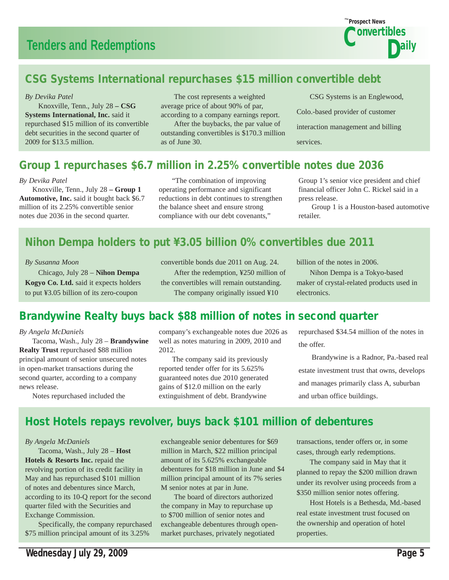

# CSG Systems International repurchases \$15 million convertible debt

#### *By Devika Patel*

 Knoxville, Tenn., July 28 **– CSG Systems International, Inc.** said it repurchased \$15 million of its convertible debt securities in the second quarter of 2009 for \$13.5 million.

 The cost represents a weighted average price of about 90% of par, according to a company earnings report.

 After the buybacks, the par value of outstanding convertibles is \$170.3 million as of June 30.

 CSG Systems is an Englewood, Colo.-based provider of customer interaction management and billing services.

# Group 1 repurchases \$6.7 million in 2.25% convertible notes due 2036

#### *By Devika Patel*

 Knoxville, Tenn., July 28 **– Group 1 Automotive, Inc.** said it bought back \$6.7 million of its 2.25% convertible senior notes due 2036 in the second quarter.

 "The combination of improving operating performance and significant reductions in debt continues to strengthen the balance sheet and ensure strong compliance with our debt covenants,"

Group 1's senior vice president and chief financial officer John C. Rickel said in a press release.

 Group 1 is a Houston-based automotive retailer.

# Nihon Dempa holders to put ¥3.05 billion 0% convertibles due 2011

#### *By Susanna Moon*

 Chicago, July 28 – **Nihon Dempa Kogyo Co. Ltd.** said it expects holders to put ¥3.05 billion of its zero-coupon

convertible bonds due 2011 on Aug. 24. After the redemption, ¥250 million of the convertibles will remain outstanding. The company originally issued ¥10

billion of the notes in 2006.

 Nihon Dempa is a Tokyo-based maker of crystal-related products used in electronics.

# Brandywine Realty buys back \$88 million of notes in second quarter

#### *By Angela McDaniels*

 Tacoma, Wash., July 28 – **Brandywine Realty Trust** repurchased \$88 million principal amount of senior unsecured notes in open-market transactions during the second quarter, according to a company news release.

company's exchangeable notes due 2026 as well as notes maturing in 2009, 2010 and 2012.

 The company said its previously reported tender offer for its 5.625% guaranteed notes due 2010 generated gains of \$12.0 million on the early extinguishment of debt. Brandywine

repurchased \$34.54 million of the notes in the offer.

 Brandywine is a Radnor, Pa.-based real estate investment trust that owns, develops and manages primarily class A, suburban and urban office buildings.

Notes repurchased included the

# Host Hotels repays revolver, buys back \$101 million of debentures

#### *By Angela McDaniels*

 Tacoma, Wash., July 28 – **Host Hotels & Resorts Inc.** repaid the revolving portion of its credit facility in May and has repurchased \$101 million of notes and debentures since March, according to its 10-Q report for the second quarter filed with the Securities and Exchange Commission.

 Specifically, the company repurchased \$75 million principal amount of its 3.25%

exchangeable senior debentures for \$69 million in March, \$22 million principal amount of its 5.625% exchangeable debentures for \$18 million in June and \$4 million principal amount of its 7% series M senior notes at par in June.

 The board of directors authorized the company in May to repurchase up to \$700 million of senior notes and exchangeable debentures through openmarket purchases, privately negotiated

transactions, tender offers or, in some cases, through early redemptions.

 The company said in May that it planned to repay the \$200 million drawn under its revolver using proceeds from a \$350 million senior notes offering.

 Host Hotels is a Bethesda, Md.-based real estate investment trust focused on the ownership and operation of hotel properties.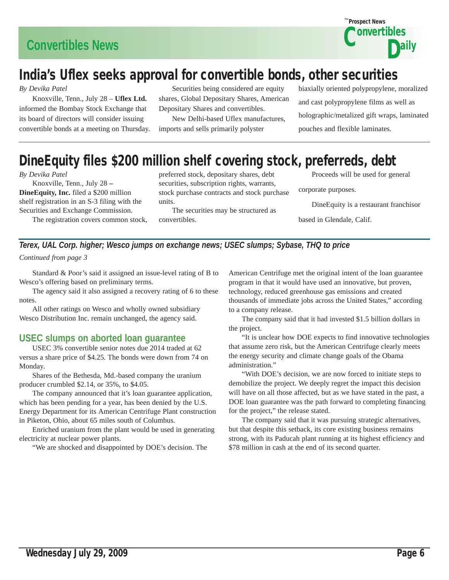

# India's Uflex seeks approval for convertible bonds, other securities

*By Devika Patel*

 Knoxville, Tenn., July 28 – **Uflex Ltd.** informed the Bombay Stock Exchange that its board of directors will consider issuing convertible bonds at a meeting on Thursday.

 Securities being considered are equity shares, Global Depositary Shares, American Depositary Shares and convertibles.

 New Delhi-based Uflex manufactures, imports and sells primarily polyster

biaxially oriented polypropylene, moralized and cast polypropylene films as well as holographic/metalized gift wraps, laminated pouches and flexible laminates.

# DineEquity files \$200 million shelf covering stock, preferreds, debt

#### *By Devika Patel*

 Knoxville, Tenn., July 28 **– DineEquity, Inc.** filed a \$200 million shelf registration in an S-3 filing with the Securities and Exchange Commission.

The registration covers common stock,

preferred stock, depositary shares, debt securities, subscription rights, warrants, stock purchase contracts and stock purchase units.

 The securities may be structured as convertibles.

Proceeds will be used for general

corporate purposes.

DineEquity is a restaurant franchisor

based in Glendale, Calif.

### *Terex, UAL Corp. higher; Wesco jumps on exchange news; USEC slumps; Sybase, THQ to price Continued from page 3*

 Standard & Poor's said it assigned an issue-level rating of B to Wesco's offering based on preliminary terms.

 The agency said it also assigned a recovery rating of 6 to these notes.

 All other ratings on Wesco and wholly owned subsidiary Wesco Distribution Inc. remain unchanged, the agency said.

## **USEC slumps on aborted loan guarantee**

 USEC 3% convertible senior notes due 2014 traded at 62 versus a share price of \$4.25. The bonds were down from 74 on Monday.

 Shares of the Bethesda, Md.-based company the uranium producer crumbled \$2.14, or 35%, to \$4.05.

 The company announced that it's loan guarantee application, which has been pending for a year, has been denied by the U.S. Energy Department for its American Centrifuge Plant construction in Piketon, Ohio, about 65 miles south of Columbus.

 Enriched uranium from the plant would be used in generating electricity at nuclear power plants.

"We are shocked and disappointed by DOE's decision. The

American Centrifuge met the original intent of the loan guarantee program in that it would have used an innovative, but proven, technology, reduced greenhouse gas emissions and created thousands of immediate jobs across the United States," according to a company release.

 The company said that it had invested \$1.5 billion dollars in the project.

 "It is unclear how DOE expects to find innovative technologies that assume zero risk, but the American Centrifuge clearly meets the energy security and climate change goals of the Obama administration."

 "With DOE's decision, we are now forced to initiate steps to demobilize the project. We deeply regret the impact this decision will have on all those affected, but as we have stated in the past, a DOE loan guarantee was the path forward to completing financing for the project," the release stated.

 The company said that it was pursuing strategic alternatives, but that despite this setback, its core existing business remains strong, with its Paducah plant running at its highest efficiency and \$78 million in cash at the end of its second quarter.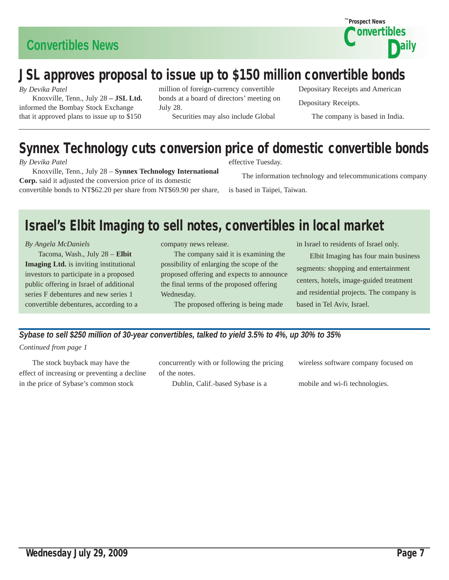

# JSL approves proposal to issue up to \$150 million convertible bonds

*By Devika Patel*

 Knoxville, Tenn., July 28 **– JSL Ltd.**  informed the Bombay Stock Exchange that it approved plans to issue up to \$150

million of foreign-currency convertible bonds at a board of directors' meeting on July 28. Securities may also include Global

Depositary Receipts and American Depositary Receipts.

The company is based in India.

# Synnex Technology cuts conversion price of domestic convertible bonds

*By Devika Patel*

 Knoxville, Tenn., July 28 – **Synnex Technology International Corp.** said it adjusted the conversion price of its domestic convertible bonds to NT\$62.20 per share from NT\$69.90 per share,

effective Tuesday.

The information technology and telecommunications company

is based in Taipei, Taiwan.

# Israel's Elbit Imaging to sell notes, convertibles in local market

*By Angela McDaniels*

 Tacoma, Wash., July 28 – **Elbit Imaging Ltd.** is inviting institutional investors to participate in a proposed public offering in Israel of additional series F debentures and new series 1 convertible debentures, according to a company news release.

 The company said it is examining the possibility of enlarging the scope of the proposed offering and expects to announce the final terms of the proposed offering Wednesday.

The proposed offering is being made

in Israel to residents of Israel only.

 Elbit Imaging has four main business segments: shopping and entertainment centers, hotels, image-guided treatment and residential projects. The company is based in Tel Aviv, Israel.

*Sybase to sell \$250 million of 30-year convertibles, talked to yield 3.5% to 4%, up 30% to 35%*

*Continued from page 1*

 The stock buyback may have the effect of increasing or preventing a decline in the price of Sybase's common stock

concurrently with or following the pricing of the notes.

Dublin, Calif.-based Sybase is a

wireless software company focused on

mobile and wi-fi technologies.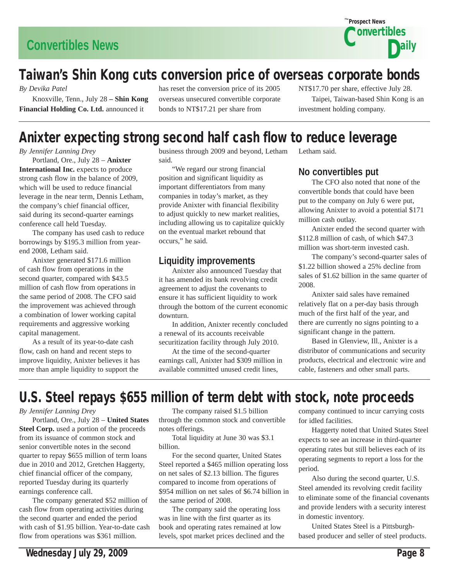

# Taiwan's Shin Kong cuts conversion price of overseas corporate bonds

*By Devika Patel*

 Knoxville, Tenn., July 28 **– Shin Kong Financial Holding Co. Ltd.** announced it

has reset the conversion price of its 2005 overseas unsecured convertible corporate bonds to NT\$17.21 per share from

NT\$17.70 per share, effective July 28. Taipei, Taiwan-based Shin Kong is an investment holding company.

# Anixter expecting strong second half cash flow to reduce leverage

*By Jennifer Lanning Drey*

 Portland, Ore., July 28 – **Anixter International Inc.** expects to produce strong cash flow in the balance of 2009, which will be used to reduce financial leverage in the near term, Dennis Letham, the company's chief financial officer, said during its second-quarter earnings conference call held Tuesday.

 The company has used cash to reduce borrowings by \$195.3 million from yearend 2008, Letham said.

 Anixter generated \$171.6 million of cash flow from operations in the second quarter, compared with \$43.5 million of cash flow from operations in the same period of 2008. The CFO said the improvement was achieved through a combination of lower working capital requirements and aggressive working capital management.

 As a result of its year-to-date cash flow, cash on hand and recent steps to improve liquidity, Anixter believes it has more than ample liquidity to support the

business through 2009 and beyond, Letham said.

 "We regard our strong financial position and significant liquidity as important differentiators from many companies in today's market, as they provide Anixter with financial flexibility to adjust quickly to new market realities, including allowing us to capitalize quickly on the eventual market rebound that occurs," he said.

## **Liquidity improvements**

 Anixter also announced Tuesday that it has amended its bank revolving credit agreement to adjust the covenants to ensure it has sufficient liquidity to work through the bottom of the current economic downturn.

 In addition, Anixter recently concluded a renewal of its accounts receivable securitization facility through July 2010.

 At the time of the second-quarter earnings call, Anixter had \$309 million in available committed unused credit lines,

**No convertibles put**

Letham said.

 The CFO also noted that none of the convertible bonds that could have been put to the company on July 6 were put, allowing Anixter to avoid a potential \$171 million cash outlay.

 Anixter ended the second quarter with \$112.8 million of cash, of which \$47.3 million was short-term invested cash.

 The company's second-quarter sales of \$1.22 billion showed a 25% decline from sales of \$1.62 billion in the same quarter of 2008.

 Anixter said sales have remained relatively flat on a per-day basis through much of the first half of the year, and there are currently no signs pointing to a significant change in the pattern.

 Based in Glenview, Ill., Anixter is a distributor of communications and security products, electrical and electronic wire and cable, fasteners and other small parts.

# U.S. Steel repays \$655 million of term debt with stock, note proceeds

*By Jennifer Lanning Drey*

 Portland, Ore., July 28 – **United States Steel Corp.** used a portion of the proceeds from its issuance of common stock and senior convertible notes in the second quarter to repay \$655 million of term loans due in 2010 and 2012, Gretchen Haggerty, chief financial officer of the company, reported Tuesday during its quarterly earnings conference call.

 The company generated \$52 million of cash flow from operating activities during the second quarter and ended the period with cash of \$1.95 billion. Year-to-date cash flow from operations was \$361 million.

 The company raised \$1.5 billion through the common stock and convertible notes offerings.

 Total liquidity at June 30 was \$3.1 billion.

 For the second quarter, United States Steel reported a \$465 million operating loss on net sales of \$2.13 billion. The figures compared to income from operations of \$954 million on net sales of \$6.74 billion in the same period of 2008.

 The company said the operating loss was in line with the first quarter as its book and operating rates remained at low levels, spot market prices declined and the company continued to incur carrying costs for idled facilities.

 Haggerty noted that United States Steel expects to see an increase in third-quarter operating rates but still believes each of its operating segments to report a loss for the period.

 Also during the second quarter, U.S. Steel amended its revolving credit facility to eliminate some of the financial covenants and provide lenders with a security interest in domestic inventory.

 United States Steel is a Pittsburghbased producer and seller of steel products.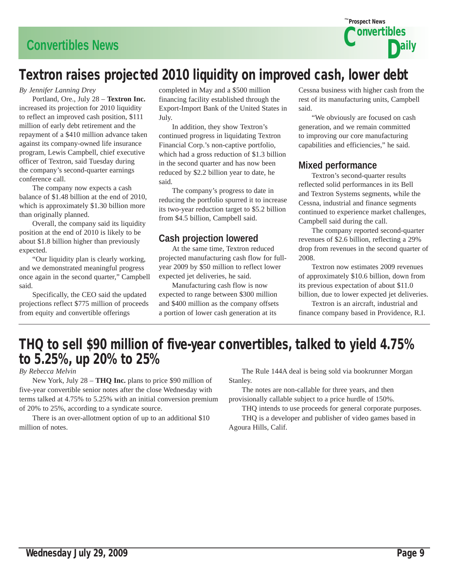# **Convertibles News**



# Textron raises projected 2010 liquidity on improved cash, lower debt

#### *By Jennifer Lanning Drey*

 Portland, Ore., July 28 – **Textron Inc.**  increased its projection for 2010 liquidity to reflect an improved cash position, \$111 million of early debt retirement and the repayment of a \$410 million advance taken against its company-owned life insurance program, Lewis Campbell, chief executive officer of Textron, said Tuesday during the company's second-quarter earnings conference call.

 The company now expects a cash balance of \$1.48 billion at the end of 2010, which is approximately \$1.30 billion more than originally planned.

 Overall, the company said its liquidity position at the end of 2010 is likely to be about \$1.8 billion higher than previously expected.

 "Our liquidity plan is clearly working, and we demonstrated meaningful progress once again in the second quarter," Campbell said.

 Specifically, the CEO said the updated projections reflect \$775 million of proceeds from equity and convertible offerings

completed in May and a \$500 million financing facility established through the Export-Import Bank of the United States in July.

 In addition, they show Textron's continued progress in liquidating Textron Financial Corp.'s non-captive portfolio, which had a gross reduction of \$1.3 billion in the second quarter and has now been reduced by \$2.2 billion year to date, he said.

 The company's progress to date in reducing the portfolio spurred it to increase its two-year reduction target to \$5.2 billion from \$4.5 billion, Campbell said.

### **Cash projection lowered**

 At the same time, Textron reduced projected manufacturing cash flow for fullyear 2009 by \$50 million to reflect lower expected jet deliveries, he said.

 Manufacturing cash flow is now expected to range between \$300 million and \$400 million as the company offsets a portion of lower cash generation at its

Cessna business with higher cash from the rest of its manufacturing units, Campbell said.

 "We obviously are focused on cash generation, and we remain committed to improving our core manufacturing capabilities and efficiencies," he said.

### **Mixed performance**

 Textron's second-quarter results reflected solid performances in its Bell and Textron Systems segments, while the Cessna, industrial and finance segments continued to experience market challenges, Campbell said during the call.

 The company reported second-quarter revenues of \$2.6 billion, reflecting a 29% drop from revenues in the second quarter of 2008.

 Textron now estimates 2009 revenues of approximately \$10.6 billion, down from its previous expectation of about \$11.0 billion, due to lower expected jet deliveries.

 Textron is an aircraft, industrial and finance company based in Providence, R.I.

# THQ to sell \$90 million of five-year convertibles, talked to yield 4.75% to 5.25%, up 20% to 25%

*By Rebecca Melvin*

 New York, July 28 – **THQ Inc.** plans to price \$90 million of five-year convertible senior notes after the close Wednesday with terms talked at 4.75% to 5.25% with an initial conversion premium of 20% to 25%, according to a syndicate source.

 There is an over-allotment option of up to an additional \$10 million of notes.

 The Rule 144A deal is being sold via bookrunner Morgan Stanley.

 The notes are non-callable for three years, and then provisionally callable subject to a price hurdle of 150%.

 THQ intends to use proceeds for general corporate purposes. THQ is a developer and publisher of video games based in

Agoura Hills, Calif.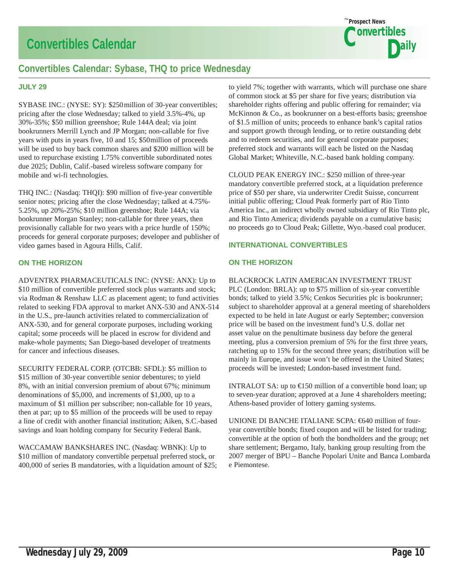# **Convertibles Calendar**



# **Convertibles Calendar: Sybase, THQ to price Wednesday**

#### **JULY 29**

SYBASE INC.: (NYSE: SY): \$250 million of 30-year convertibles; pricing after the close Wednesday; talked to yield 3.5%-4%, up 30%-35%; \$50 million greenshoe; Rule 144A deal; via joint bookrunners Merrill Lynch and JP Morgan; non-callable for five years with puts in years five, 10 and 15; \$50 million of proceeds will be used to buy back common shares and \$200 million will be used to repurchase existing 1.75% convertible subordinated notes due 2025; Dublin, Calif.-based wireless software company for mobile and wi-fi technologies.

THQ INC.: (Nasdaq: THQI): \$90 million of five-year convertible senior notes; pricing after the close Wednesday; talked at 4.75%- 5.25%, up 20%-25%; \$10 million greenshoe; Rule 144A; via bookrunner Morgan Stanley; non-callable for three years, then provisionally callable for two years with a price hurdle of 150%; proceeds for general corporate purposes; developer and publisher of video games based in Agoura Hills, Calif.

#### **ON THE HORIZON**

ADVENTRX PHARMACEUTICALS INC: (NYSE: ANX): Up to \$10 million of convertible preferred stock plus warrants and stock; via Rodman & Renshaw LLC as placement agent; to fund activities related to seeking FDA approval to market ANX-530 and ANX-514 in the U.S., pre-launch activities related to commercialization of ANX-530, and for general corporate purposes, including working capital; some proceeds will be placed in escrow for dividend and make-whole payments; San Diego-based developer of treatments for cancer and infectious diseases.

SECURITY FEDERAL CORP. (OTCBB: SFDL): \$5 million to \$15 million of 30-year convertible senior debentures; to yield 8%, with an initial conversion premium of about 67%; minimum denominations of \$5,000, and increments of \$1,000, up to a maximum of \$1 million per subscriber; non-callable for 10 years, then at par; up to \$5 million of the proceeds will be used to repay a line of credit with another financial institution; Aiken, S.C.-based savings and loan holding company for Security Federal Bank.

WACCAMAW BANKSHARES INC. (Nasdaq: WBNK): Up to \$10 million of mandatory convertible perpetual preferred stock, or 400,000 of series B mandatories, with a liquidation amount of \$25;

to yield 7%; together with warrants, which will purchase one share of common stock at \$5 per share for five years; distribution via shareholder rights offering and public offering for remainder; via McKinnon & Co., as bookrunner on a best-efforts basis; greenshoe of \$1.5 million of units; proceeds to enhance bank's capital ratios and support growth through lending, or to retire outstanding debt and to redeem securities, and for general corporate purposes; preferred stock and warrants will each be listed on the Nasdaq Global Market; Whiteville, N.C.-based bank holding company.

CLOUD PEAK ENERGY INC.: \$250 million of three-year mandatory convertible preferred stock, at a liquidation preference price of \$50 per share, via underwriter Credit Suisse, concurrent initial public offering; Cloud Peak formerly part of Rio Tinto America Inc., an indirect wholly owned subsidiary of Rio Tinto plc, and Rio Tinto America; dividends payable on a cumulative basis; no proceeds go to Cloud Peak; Gillette, Wyo.-based coal producer.

#### **INTERNATIONAL CONVERTIBLES**

#### **ON THE HORIZON**

#### BLACKROCK LATIN AMERICAN INVESTMENT TRUST

PLC (London: BRLA): up to \$75 million of six-year convertible bonds; talked to yield 3.5%; Cenkos Securities plc is bookrunner; subject to shareholder approval at a general meeting of shareholders expected to be held in late August or early September; conversion price will be based on the investment fund's U.S. dollar net asset value on the penultimate business day before the general meeting, plus a conversion premium of 5% for the first three years, ratcheting up to 15% for the second three years; distribution will be mainly in Europe, and issue won't be offered in the United States; proceeds will be invested; London-based investment fund.

INTRALOT SA: up to  $\bigoplus$  50 million of a convertible bond loan; up to seven-year duration; approved at a June 4 shareholders meeting; Athens-based provider of lottery gaming systems.

UNIONE DI BANCHE ITALIANE SCPA: €640 million of fouryear convertible bonds; fixed coupon and will be listed for trading; convertible at the option of both the bondholders and the group; net share settlement; Bergamo, Italy, banking group resulting from the 2007 merger of BPU – Banche Popolari Unite and Banca Lombarda e Piemontese.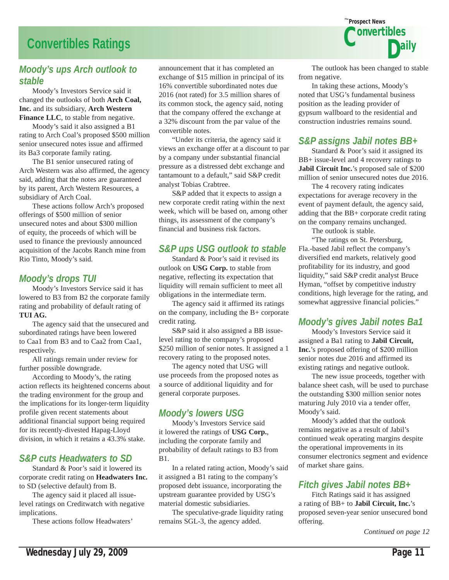# **Convertibles Ratings**

### *Moody's ups Arch outlook to stable*

 Moody's Investors Service said it changed the outlooks of both **Arch Coal, Inc.** and its subsidiary, **Arch Western**  Finance LLC, to stable from negative.

 Moody's said it also assigned a B1 rating to Arch Coal's proposed \$500 million senior unsecured notes issue and affirmed its Ba3 corporate family rating.

 The B1 senior unsecured rating of Arch Western was also affirmed, the agency said, adding that the notes are guaranteed by its parent, Arch Western Resources, a subsidiary of Arch Coal.

 These actions follow Arch's proposed offerings of \$500 million of senior unsecured notes and about \$300 million of equity, the proceeds of which will be used to finance the previously announced acquisition of the Jacobs Ranch mine from Rio Tinto, Moody's said.

### *Moody's drops TUI*

 Moody's Investors Service said it has lowered to B3 from B2 the corporate family rating and probability of default rating of **TUI AG.**

 The agency said that the unsecured and subordinated ratings have been lowered to Caa1 from B3 and to Caa2 from Caa1, respectively.

 All ratings remain under review for further possible downgrade.

 According to Moody's, the rating action reflects its heightened concerns about the trading environment for the group and the implications for its longer-term liquidity profile given recent statements about additional financial support being required for its recently-divested Hapag-Lloyd division, in which it retains a 43.3% stake.

### *S&P cuts Headwaters to SD*

 Standard & Poor's said it lowered its corporate credit rating on **Headwaters Inc.** to SD (selective default) from B.

 The agency said it placed all issuelevel ratings on Creditwatch with negative implications.

These actions follow Headwaters'

announcement that it has completed an exchange of \$15 million in principal of its 16% convertible subordinated notes due 2016 (not rated) for 3.5 million shares of its common stock, the agency said, noting that the company offered the exchange at a 32% discount from the par value of the convertible notes.

 "Under its criteria, the agency said it views an exchange offer at a discount to par by a company under substantial financial pressure as a distressed debt exchange and tantamount to a default," said S&P credit analyst Tobias Crabtree.

 S&P added that it expects to assign a new corporate credit rating within the next week, which will be based on, among other things, its assessment of the company's financial and business risk factors.

### *S&P ups USG outlook to stable*

 Standard & Poor's said it revised its outlook on **USG Corp.** to stable from negative, reflecting its expectation that liquidity will remain sufficient to meet all obligations in the intermediate term.

 The agency said it affirmed its ratings on the company, including the B+ corporate credit rating.

 S&P said it also assigned a BB issuelevel rating to the company's proposed \$250 million of senior notes. It assigned a 1 recovery rating to the proposed notes.

 The agency noted that USG will use proceeds from the proposed notes as a source of additional liquidity and for general corporate purposes.

## *Moody's lowers USG*

 Moody's Investors Service said it lowered the ratings of **USG Corp.**, including the corporate family and probability of default ratings to B3 from B1.

 In a related rating action, Moody's said it assigned a B1 rating to the company's proposed debt issuance, incorporating the upstream guarantee provided by USG's material domestic subsidiaries.

 The speculative-grade liquidity rating remains SGL-3, the agency added.



Prospect News *The*

**Nonvertibles** 

Daily

 In taking these actions, Moody's noted that USG's fundamental business position as the leading provider of gypsum wallboard to the residential and construction industries remains sound.

## *S&P assigns Jabil notes BB+*

 Standard & Poor's said it assigned its BB+ issue-level and 4 recovery ratings to **Jabil Circuit Inc.**'s proposed sale of \$200 million of senior unsecured notes due 2016.

 The 4 recovery rating indicates expectations for average recovery in the event of payment default, the agency said, adding that the BB+ corporate credit rating on the company remains unchanged.

The outlook is stable.

 "The ratings on St. Petersburg, Fla.-based Jabil reflect the company's diversified end markets, relatively good profitability for its industry, and good liquidity," said S&P credit analyst Bruce Hyman, "offset by competitive industry conditions, high leverage for the rating, and somewhat aggressive financial policies."

### *Moody's gives Jabil notes Ba1*

 Moody's Investors Service said it assigned a Ba1 rating to **Jabil Circuit, Inc.**'s proposed offering of \$200 million senior notes due 2016 and affirmed its existing ratings and negative outlook.

 The new issue proceeds, together with balance sheet cash, will be used to purchase the outstanding \$300 million senior notes maturing July 2010 via a tender offer, Moody's said.

 Moody's added that the outlook remains negative as a result of Jabil's continued weak operating margins despite the operational improvements in its consumer electronics segment and evidence of market share gains.

### *Fitch gives Jabil notes BB+*

 Fitch Ratings said it has assigned a rating of BB+ to **Jabil Circuit, Inc.**'s proposed seven-year senior unsecured bond offering.

*Continued on page 12*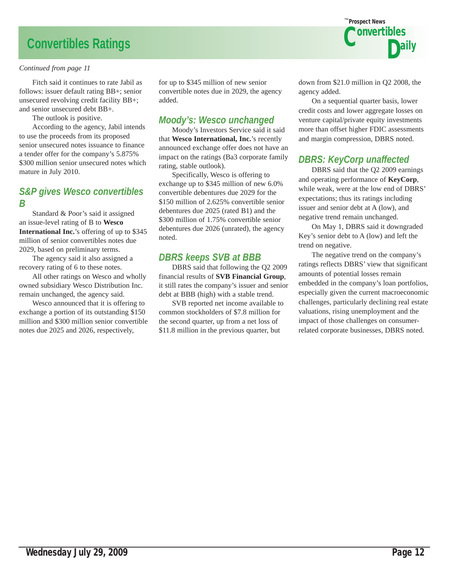# **Convertibles Ratings**

#### *Continued from page 11*

 Fitch said it continues to rate Jabil as follows: issuer default rating BB+; senior unsecured revolving credit facility BB+; and senior unsecured debt BB+.

The outlook is positive.

 According to the agency, Jabil intends to use the proceeds from its proposed senior unsecured notes issuance to finance a tender offer for the company's 5.875% \$300 million senior unsecured notes which mature in July 2010.

### *S&P gives Wesco convertibles B*

 Standard & Poor's said it assigned an issue-level rating of B to **Wesco International Inc.**'s offering of up to \$345 million of senior convertibles notes due 2029, based on preliminary terms.

 The agency said it also assigned a recovery rating of 6 to these notes.

 All other ratings on Wesco and wholly owned subsidiary Wesco Distribution Inc. remain unchanged, the agency said.

 Wesco announced that it is offering to exchange a portion of its outstanding \$150 million and \$300 million senior convertible notes due 2025 and 2026, respectively,

for up to \$345 million of new senior convertible notes due in 2029, the agency added.

### *Moody's: Wesco unchanged*

 Moody's Investors Service said it said that **Wesco International, Inc.**'s recently announced exchange offer does not have an impact on the ratings (Ba3 corporate family rating, stable outlook).

 Specifically, Wesco is offering to exchange up to \$345 million of new 6.0% convertible debentures due 2029 for the \$150 million of 2.625% convertible senior debentures due 2025 (rated B1) and the \$300 million of 1.75% convertible senior debentures due 2026 (unrated), the agency noted.

## *DBRS keeps SVB at BBB*

 DBRS said that following the Q2 2009 financial results of **SVB Financial Group**, it still rates the company's issuer and senior debt at BBB (high) with a stable trend.

 SVB reported net income available to common stockholders of \$7.8 million for the second quarter, up from a net loss of \$11.8 million in the previous quarter, but



down from \$21.0 million in Q2 2008, the agency added.

 On a sequential quarter basis, lower credit costs and lower aggregate losses on venture capital/private equity investments more than offset higher FDIC assessments and margin compression, DBRS noted.

## *DBRS: KeyCorp unaffected*

 DBRS said that the Q2 2009 earnings and operating performance of **KeyCorp**, while weak, were at the low end of DBRS' expectations; thus its ratings including issuer and senior debt at A (low), and negative trend remain unchanged.

 On May 1, DBRS said it downgraded Key's senior debt to A (low) and left the trend on negative.

 The negative trend on the company's ratings reflects DBRS' view that significant amounts of potential losses remain embedded in the company's loan portfolios, especially given the current macroeconomic challenges, particularly declining real estate valuations, rising unemployment and the impact of those challenges on consumerrelated corporate businesses, DBRS noted.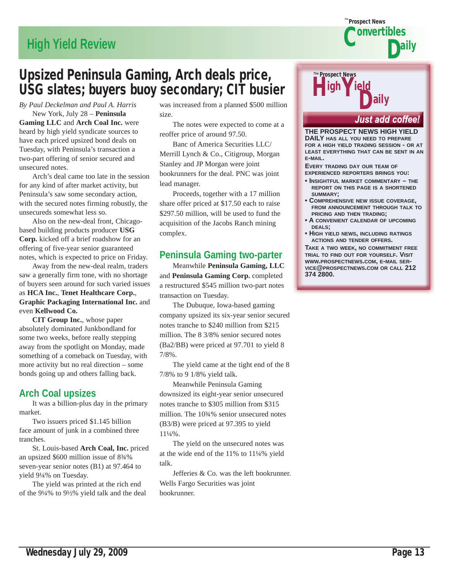# **High Yield Review**

# Upsized Peninsula Gaming, Arch deals price,<br>USC slates: huyers huoy secondary: CIT busier USG slates; buyers buoy secondary; CIT busier

*By Paul Deckelman and Paul A. Harris*

 New York, July 28 – **Peninsula Gaming LLC** and **Arch Coal Inc.** were heard by high yield syndicate sources to have each priced upsized bond deals on Tuesday, with Peninsula's transaction a two-part offering of senior secured and unsecured notes.

 Arch's deal came too late in the session for any kind of after market activity, but Peninsula's saw some secondary action, with the secured notes firming robustly, the unsecureds somewhat less so.

 Also on the new-deal front, Chicagobased building products producer USG **Corp.** kicked off a brief roadshow for an offering of five-year senior guaranteed notes, which is expected to price on Friday.

 Away from the new-deal realm, traders saw a generally firm tone, with no shortage of buyers seen around for such varied issues as **HCA Inc.**, **Tenet Healthcare Corp.**, **Graphic Packaging International Inc.** and even **Kellwood Co.**

**CIT Group Inc.**, whose paper absolutely dominated Junkbondland for some two weeks, before really stepping away from the spotlight on Monday, made something of a comeback on Tuesday, with more activity but no real direction – some bonds going up and others falling back.

## **Arch Coal upsizes**

 It was a billion-plus day in the primary market.

 Two issuers priced \$1.145 billion face amount of junk in a combined three tranches.

 St. Louis-based **Arch Coal, Inc.** priced an upsized \$600 million issue of 8¾% seven-year senior notes (B1) at 97.464 to yield 9¼% on Tuesday.

 The yield was printed at the rich end of the 9¼% to 9½% yield talk and the deal was increased from a planned \$500 million size.

 The notes were expected to come at a reoffer price of around 97.50.

 Banc of America Securities LLC/ Merrill Lynch & Co., Citigroup, Morgan Stanley and JP Morgan were joint bookrunners for the deal. PNC was joint lead manager.

 Proceeds, together with a 17 million share offer priced at \$17.50 each to raise \$297.50 million, will be used to fund the acquisition of the Jacobs Ranch mining complex.

# **Peninsula Gaming two-parter**

 Meanwhile **Peninsula Gaming, LLC** and **Peninsula Gaming Corp.** completed a restructured \$545 million two-part notes transaction on Tuesday.

 The Dubuque, Iowa-based gaming company upsized its six-year senior secured notes tranche to \$240 million from \$215 million. The 8 3/8% senior secured notes (Ba2/BB) were priced at 97.701 to yield 8 7/8%.

 The yield came at the tight end of the 8 7/8% to 9 1/8% yield talk.

 Meanwhile Peninsula Gaming downsized its eight-year senior unsecured notes tranche to \$305 million from \$315 million. The 10¾% senior unsecured notes (B3/B) were priced at 97.395 to yield 11¼%.

 The yield on the unsecured notes was at the wide end of the 11% to 11¼% yield talk.

 Jefferies & Co. was the left bookrunner. Wells Fargo Securities was joint bookrunner.

# Prospect News *The* **H**igh Yield<br>Daily

#### Just add coffee!

**THE PROSPECT NEWS HIGH YIELD DAILY HAS ALL YOU NEED TO PREPARE FOR A HIGH YIELD TRADING SESSION - OR AT LEAST EVERYTHING THAT CAN BE SENT IN AN E-MAIL.**

Prospect News *The*

Convertibles

aily

**EVERY TRADING DAY OUR TEAM OF EXPERIENCED REPORTERS BRINGS YOU:**

- **INSIGHTFUL MARKET COMMENTARY THE REPORT ON THIS PAGE IS A SHORTENED SUMMARY;**
- **COMPREHENSIVE NEW ISSUE COVERAGE, FROM ANNOUNCEMENT THROUGH TALK TO PRICING AND THEN TRADING;**
- **A CONVENIENT CALENDAR OF UPCOMING DEALS;**
- **HIGH YIELD NEWS, INCLUDING RATINGS ACTIONS AND TENDER OFFERS.**

**TAKE A TWO WEEK, NO COMMITMENT FREE TRIAL TO FIND OUT FOR YOURSELF. VISIT WWW.PROSPECTNEWS.COM, E-MAIL SER-VICE@PROSPECTNEWS.COM OR CALL 212 374 2800.**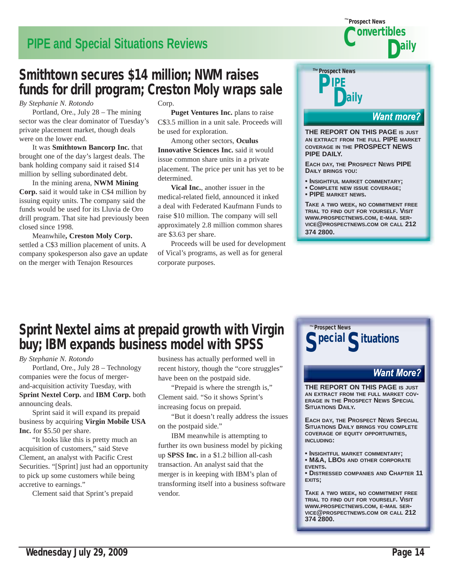# **PIPE and Special Situations Reviews**

# Smithtown secures \$14 million; NWM raises funds for drill program; Creston Moly wraps sale

*By Stephanie N. Rotondo*

 Portland, Ore., July 28 – The mining sector was the clear dominator of Tuesday's private placement market, though deals were on the lower end.

 It was **Smithtown Bancorp Inc.** that brought one of the day's largest deals. The bank holding company said it raised \$14 million by selling subordinated debt.

 In the mining arena, **NWM Mining Corp.** said it would take in C\$4 million by issuing equity units. The company said the funds would be used for its Lluvia de Oro drill program. That site had previously been closed since 1998.

 Meanwhile**, Creston Moly Corp.** settled a C\$3 million placement of units. A company spokesperson also gave an update on the merger with Tenajon Resources

Corp.

**Puget Ventures Inc.** plans to raise C\$3.5 million in a unit sale. Proceeds will be used for exploration.

 Among other sectors, **Oculus Innovative Sciences Inc.** said it would issue common share units in a private placement. The price per unit has yet to be determined.

**Vical Inc.**, another issuer in the medical-related field, announced it inked a deal with Federated Kaufmann Funds to raise \$10 million. The company will sell approximately 2.8 million common shares are \$3.63 per share.

 Proceeds will be used for development of Vical's programs, as well as for general corporate purposes.

# Prospect News *The* **PIPE** laily

#### **Want more?**

aily

**THE REPORT ON THIS PAGE IS JUST AN EXTRACT FROM THE FULL PIPE MARKET COVERAGE IN THE PROSPECT NEWS PIPE DAILY.**

Prospect News *The*

 $\bullet$ onvertibles

**EACH DAY, THE PROSPECT NEWS PIPE DAILY BRINGS YOU:**

- **INSIGHTFUL MARKET COMMENTARY;**
- **COMPLETE NEW ISSUE COVERAGE;**
- **PIPE MARKET NEWS.**

**TAKE A TWO WEEK, NO COMMITMENT FREE TRIAL TO FIND OUT FOR YOURSELF. VISIT WWW.PROSPECTNEWS.COM, E-MAIL SER-VICE@PROSPECTNEWS.COM OR CALL 212 374 2800.**

# Sprint Nextel aims at prepaid growth with Virgin buy; IBM expands business model with SPSS

*By Stephanie N. Rotondo*

 Portland, Ore., July 28 – Technology companies were the focus of mergerand-acquisition activity Tuesday, with **Sprint Nextel Corp.** and **IBM Corp.** both announcing deals.

 Sprint said it will expand its prepaid business by acquiring **Virgin Mobile USA Inc.** for \$5.50 per share.

 "It looks like this is pretty much an acquisition of customers," said Steve Clement, an analyst with Pacific Crest Securities. "[Sprint] just had an opportunity to pick up some customers while being accretive to earnings."

Clement said that Sprint's prepaid

business has actually performed well in recent history, though the "core struggles" have been on the postpaid side.

 "Prepaid is where the strength is," Clement said. "So it shows Sprint's increasing focus on prepaid.

 "But it doesn't really address the issues on the postpaid side."

 IBM meanwhile is attempting to further its own business model by picking up **SPSS Inc.** in a \$1.2 billion all-cash transaction. An analyst said that the merger is in keeping with IBM's plan of transforming itself into a business software vendor.



## **Want More?**

**THE REPORT ON THIS PAGE IS JUST AN EXTRACT FROM THE FULL MARKET COV-ERAGE IN THE PROSPECT NEWS SPECIAL SITUATIONS DAILY.**

**EACH DAY, THE PROSPECT NEWS SPECIAL SITUATIONS DAILY BRINGS YOU COMPLETE COVERAGE OF EQUITY OPPORTUNITIES, INCLUDING:**

**• INSIGHTFUL MARKET COMMENTARY;**

**• M&A, LBOS AND OTHER CORPORATE EVENTS.**

**• DISTRESSED COMPANIES AND CHAPTER 11 EXITS;**

**TAKE A TWO WEEK, NO COMMITMENT FREE TRIAL TO FIND OUT FOR YOURSELF. VISIT WWW.PROSPECTNEWS.COM, E-MAIL SER-VICE@PROSPECTNEWS.COM OR CALL 212 374 2800.**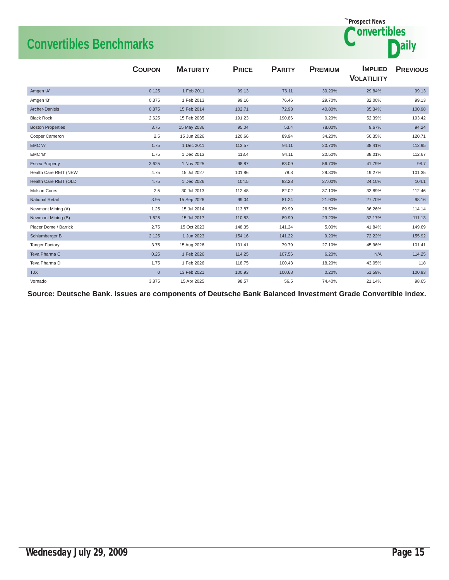# **Convertibles Benchmarks**



|                          | <b>COUPON</b> | <b>MATURITY</b> | <b>PRICE</b> | <b>PARITY</b> | <b>PREMIUM</b> | <b>IMPLIED</b><br><b>VOLATILIITY</b> | <b>PREVIOUS</b> |
|--------------------------|---------------|-----------------|--------------|---------------|----------------|--------------------------------------|-----------------|
| Amgen 'A'                | 0.125         | 1 Feb 2011      | 99.13        | 76.11         | 30.20%         | 29.84%                               | 99.13           |
| Amgen 'B'                | 0.375         | 1 Feb 2013      | 99.16        | 76.46         | 29.70%         | 32.00%                               | 99.13           |
| Archer-Daniels           | 0.875         | 15 Feb 2014     | 102.71       | 72.93         | 40.80%         | 35.34%                               | 100.98          |
| <b>Black Rock</b>        | 2.625         | 15 Feb 2035     | 191.23       | 190.86        | 0.20%          | 52.39%                               | 193.42          |
| <b>Boston Properties</b> | 3.75          | 15 May 2036     | 95.04        | 53.4          | 78.00%         | 9.67%                                | 94.24           |
| Cooper Cameron           | 2.5           | 15 Jun 2026     | 120.66       | 89.94         | 34.20%         | 50.35%                               | 120.71          |
| EMC 'A'                  | 1.75          | 1 Dec 2011      | 113.57       | 94.11         | 20.70%         | 38.41%                               | 112.95          |
| EMC 'B'                  | 1.75          | 1 Dec 2013      | 113.4        | 94.11         | 20.50%         | 38.01%                               | 112.67          |
| <b>Essex Property</b>    | 3.625         | 1 Nov 2025      | 98.87        | 63.09         | 56.70%         | 41.79%                               | 98.7            |
| Health Care REIT (NEW    | 4.75          | 15 Jul 2027     | 101.86       | 78.8          | 29.30%         | 19.27%                               | 101.35          |
| Health Care REIT (OLD    | 4.75          | 1 Dec 2026      | 104.5        | 82.28         | 27.00%         | 24.10%                               | 104.1           |
| Molson Coors             | 2.5           | 30 Jul 2013     | 112.48       | 82.02         | 37.10%         | 33.89%                               | 112.46          |
| <b>National Retail</b>   | 3.95          | 15 Sep 2026     | 99.04        | 81.24         | 21.90%         | 27.70%                               | 98.16           |
| Newmont Mining (A)       | 1.25          | 15 Jul 2014     | 113.87       | 89.99         | 26.50%         | 36.26%                               | 114.14          |
| Newmont Mining (B)       | 1.625         | 15 Jul 2017     | 110.83       | 89.99         | 23.20%         | 32.17%                               | 111.13          |
| Placer Dome / Barrick    | 2.75          | 15 Oct 2023     | 148.35       | 141.24        | 5.00%          | 41.84%                               | 149.69          |
| Schlumberger B           | 2.125         | 1 Jun 2023      | 154.16       | 141.22        | 9.20%          | 72.22%                               | 155.92          |
| <b>Tanger Factory</b>    | 3.75          | 15 Aug 2026     | 101.41       | 79.79         | 27.10%         | 45.96%                               | 101.41          |
| Teva Pharma C            | 0.25          | 1 Feb 2026      | 114.25       | 107.56        | 6.20%          | N/A                                  | 114.25          |
| Teva Pharma D            | 1.75          | 1 Feb 2026      | 118.75       | 100.43        | 18.20%         | 43.05%                               | 118             |
| <b>TJX</b>               | $\mathbf{0}$  | 13 Feb 2021     | 100.93       | 100.68        | 0.20%          | 51.59%                               | 100.93          |
| Vornado                  | 3.875         | 15 Apr 2025     | 98.57        | 56.5          | 74.40%         | 21.14%                               | 98.65           |

**Source: Deutsche Bank. Issues are components of Deutsche Bank Balanced Investment Grade Convertible index.**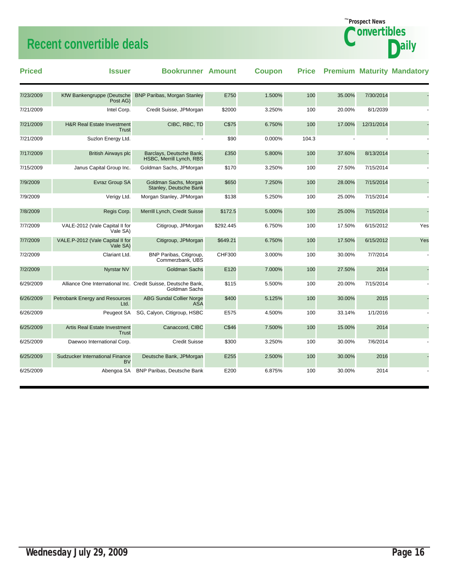# **Recent convertible deals**

| <b>Priced</b> | <b>Issuer</b>                                       | <b>Bookrunner Amount</b>                                                       |               | <b>Coupon</b> |       |        |            | <b>Price Premium Maturity Mandatory</b> |
|---------------|-----------------------------------------------------|--------------------------------------------------------------------------------|---------------|---------------|-------|--------|------------|-----------------------------------------|
| 7/23/2009     | KfW Bankengruppe (Deutsche<br>Post AG)              | <b>BNP Paribas, Morgan Stanley</b>                                             | E750          | 1.500%        | 100   | 35.00% | 7/30/2014  |                                         |
| 7/21/2009     | Intel Corp.                                         | Credit Suisse, JPMorgan                                                        | \$2000        | 3.250%        | 100   | 20.00% | 8/1/2039   |                                         |
| 7/21/2009     | <b>H&amp;R Real Estate Investment</b><br>Trust      | CIBC, RBC, TD                                                                  | C\$75         | 6.750%        | 100   | 17.00% | 12/31/2014 |                                         |
| 7/21/2009     | Suzion Energy Ltd.                                  |                                                                                | \$90          | 0.000%        | 104.3 |        |            |                                         |
| 7/17/2009     | <b>British Airways plc</b>                          | Barclays, Deutsche Bank,<br>HSBC, Merrill Lynch, RBS                           | £350          | 5.800%        | 100   | 37.60% | 8/13/2014  |                                         |
| 7/15/2009     | Janus Capital Group Inc.                            | Goldman Sachs, JPMorgan                                                        | \$170         | 3.250%        | 100   | 27.50% | 7/15/2014  |                                         |
| 7/9/2009      | Evraz Group SA                                      | Goldman Sachs, Morgan<br>Stanley, Deutsche Bank                                | \$650         | 7.250%        | 100   | 28.00% | 7/15/2014  |                                         |
| 7/9/2009      | Verigy Ltd.                                         | Morgan Stanley, JPMorgan                                                       | \$138         | 5.250%        | 100   | 25.00% | 7/15/2014  |                                         |
| 7/8/2009      | Regis Corp.                                         | Merrill Lynch, Credit Suisse                                                   | \$172.5       | 5.000%        | 100   | 25.00% | 7/15/2014  |                                         |
| 7/7/2009      | VALE-2012 (Vale Capital II for<br>Vale SA)          | Citigroup, JPMorgan                                                            | \$292.445     | 6.750%        | 100   | 17.50% | 6/15/2012  | Yes                                     |
| 7/7/2009      | VALE.P-2012 (Vale Capital II for<br>Vale SA)        | Citigroup, JPMorgan                                                            | \$649.21      | 6.750%        | 100   | 17.50% | 6/15/2012  | Yes                                     |
| 7/2/2009      | Clariant Ltd.                                       | BNP Paribas, Citigroup,<br>Commerzbank, UBS                                    | <b>CHF300</b> | 3.000%        | 100   | 30.00% | 7/7/2014   |                                         |
| 7/2/2009      | <b>Nyrstar NV</b>                                   | <b>Goldman Sachs</b>                                                           | E120          | 7.000%        | 100   | 27.50% | 2014       |                                         |
| 6/29/2009     |                                                     | Alliance One International Inc. Credit Suisse, Deutsche Bank,<br>Goldman Sachs | \$115         | 5.500%        | 100   | 20.00% | 7/15/2014  |                                         |
| 6/26/2009     | Petrobank Energy and Resources<br>Ltd.              | <b>ABG Sundal Collier Norge</b><br><b>ASA</b>                                  | \$400         | 5.125%        | 100   | 30.00% | 2015       |                                         |
| 6/26/2009     | Peugeot SA                                          | SG, Calyon, Citigroup, HSBC                                                    | E575          | 4.500%        | 100   | 33.14% | 1/1/2016   |                                         |
| 6/25/2009     | <b>Artis Real Estate Investment</b><br><b>Trust</b> | Canaccord, CIBC                                                                | C\$46         | 7.500%        | 100   | 15.00% | 2014       |                                         |
| 6/25/2009     | Daewoo International Corp.                          | <b>Credit Suisse</b>                                                           | \$300         | 3.250%        | 100   | 30.00% | 7/6/2014   |                                         |
| 6/25/2009     | Sudzucker International Finance<br>BV               | Deutsche Bank, JPMorgan                                                        | E255          | 2.500%        | 100   | 30.00% | 2016       |                                         |
| 6/25/2009     | Abengoa SA                                          | <b>BNP Paribas, Deutsche Bank</b>                                              | E200          | 6.875%        | 100   | 30.00% | 2014       |                                         |

Prospect News *The*

**Ponvertibles** 

**Daily**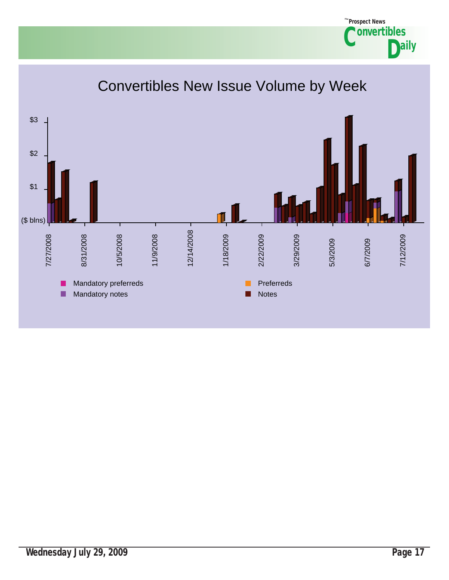#### Convertibles New Issue Volume by Week \$3 \$2 \$1 (\$ blns) 12/14/2008 12/14/2008 7/27/2008 7/27/2008 8/31/2008 8/31/2008 10/5/2008 10/5/2008 11/9/2008 11/9/2008 1/18/2009 1/18/2009 2/22/2009 2/22/2009 3/29/2009 3/29/2009 7/12/2009 7/12/2009 5/3/2009 5/3/2009 6/7/2009 6/7/2009 Mandatory preferreds **Preferreds** Preferreds Ш Mandatory notes Notes Notes П

Prospect News *The*

**Convertibles** 

**aily**